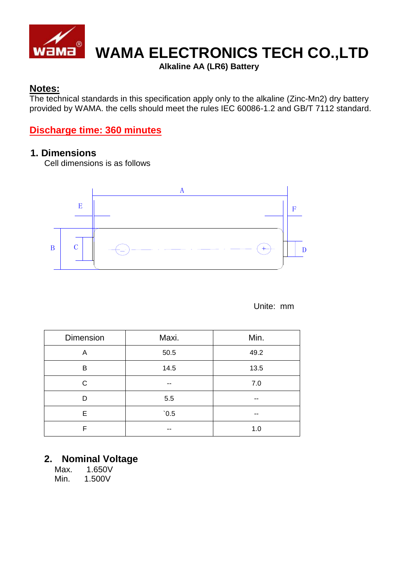

## **WAMA ELECTRONICS TECH CO.,LTD**

**Alkaline AA (LR6) Battery**

### **Notes:**

The technical standards in this specification apply only to the alkaline (Zinc-Mn2) dry battery provided by WAMA. the cells should meet the rules IEC 60086-1.2 and GB/T 7112 standard.

## **Discharge time: 360 minutes**

#### **1. Dimensions**

Cell dimensions is as follows



Unite: mm

| Dimension | Maxi. | Min. |
|-----------|-------|------|
| A         | 50.5  | 49.2 |
| B         | 14.5  | 13.5 |
| C         | --    | 7.0  |
| D         | 5.5   | --   |
| E.        | 0.5   | --   |
| F         |       | 1.0  |

### **2. Nominal Voltage**

Max. 1.650V Min. 1.500V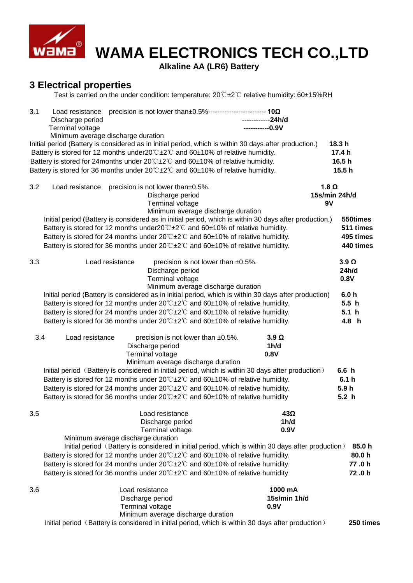

# **WAMA ELECTRONICS TECH CO.,LTD**

**Alkaline AA (LR6) Battery**

## **3 Electrical properties**

Test is carried on the under condition: temperature: 20℃±2℃ relative humidity: 60±15%RH

| 3.1 | Discharge period<br><b>Terminal voltage</b><br>Minimum average discharge duration | Load resistance precision is not lower than±0.5%--------------------------10Ω                                                                                                                                                                                                                                                                                                                                                                | ------------24h/d<br>-----------0.9V                                     |                                          |                                                                  |
|-----|-----------------------------------------------------------------------------------|----------------------------------------------------------------------------------------------------------------------------------------------------------------------------------------------------------------------------------------------------------------------------------------------------------------------------------------------------------------------------------------------------------------------------------------------|--------------------------------------------------------------------------|------------------------------------------|------------------------------------------------------------------|
|     |                                                                                   | Initial period (Battery is considered as in initial period, which is within 30 days after production.)<br>Battery is stored for 12 months under $20^{\circ}$ C $\pm 2^{\circ}$ and $60\pm 10\%$ of relative humidity.<br>Battery is stored for 24 months under $20^{\circ}$ C $\pm 2^{\circ}$ and $60\pm 10\%$ of relative humidity.                                                                                                         |                                                                          |                                          | 18.3 h<br>17.4 h<br>16.5 h                                       |
|     |                                                                                   | Battery is stored for 36 months under $20^{\circ}$ = $2^{\circ}$ and $60\pm10\%$ of relative humidity.                                                                                                                                                                                                                                                                                                                                       |                                                                          |                                          | 15.5 h                                                           |
| 3.2 | Load resistance                                                                   | precision is not lower than±0.5%.<br>Discharge period<br>Terminal voltage                                                                                                                                                                                                                                                                                                                                                                    | Minimum average discharge duration                                       |                                          | 1.8 $\Omega$<br>15s/min 24h/d<br>9V                              |
|     |                                                                                   | Initial period (Battery is considered as in initial period, which is within 30 days after production.)<br>Battery is stored for 12 months under $20^{\circ}$ ± $2^{\circ}$ and $60\pm10\%$ of relative humidity.<br>Battery is stored for 24 months under $20^{\circ}$ = $2^{\circ}$ and $60\pm10\%$ of relative humidity.<br>Battery is stored for 36 months under 20°C±2°C and 60±10% of relative humidity.                                |                                                                          |                                          | 550times<br>511 times<br>495 times<br>440 times                  |
| 3.3 | Load resistance                                                                   | Discharge period<br>Terminal voltage                                                                                                                                                                                                                                                                                                                                                                                                         | precision is not lower than ±0.5%.<br>Minimum average discharge duration |                                          | $3.9 \Omega$<br>24h/d<br>0.8V                                    |
|     |                                                                                   | Initial period (Battery is considered as in initial period, which is within 30 days after production)<br>Battery is stored for 12 months under $20^{\circ}C \pm 2^{\circ}C$ and $60 \pm 10\%$ of relative humidity.<br>Battery is stored for 24 months under $20^{\circ}$ = $2^{\circ}$ and $60\pm10\%$ of relative humidity.<br>Battery is stored for 36 months under $20^{\circ}$ C $\pm 2^{\circ}$ and 60 $\pm$ 10% of relative humidity. |                                                                          |                                          | 6.0h<br>5.5 <sub>h</sub><br>5.1 <sub>h</sub><br>4.8 h            |
| 3.4 | Load resistance                                                                   | precision is not lower than ±0.5%.<br>Discharge period<br>Terminal voltage<br>Minimum average discharge duration                                                                                                                                                                                                                                                                                                                             |                                                                          | $3.9\Omega$<br>1 <sub>h</sub> /d<br>0.8V |                                                                  |
|     |                                                                                   | Initial period (Battery is considered in initial period, which is within 30 days after production)<br>Battery is stored for 12 months under 20°C±2°C and 60±10% of relative humidity.<br>Battery is stored for 24 months under $20^{\circ}$ = $2^{\circ}$ and $60\pm10\%$ of relative humidity.<br>Battery is stored for 36 months under 20°C±2°C and 60±10% of relative humidity                                                            |                                                                          |                                          | 6.6 <sub>h</sub><br>6.1 <sub>h</sub><br>5.9h<br>5.2 <sub>h</sub> |
| 3.5 |                                                                                   | Load resistance<br>Discharge period<br>Terminal voltage<br>Minimum average discharge duration                                                                                                                                                                                                                                                                                                                                                |                                                                          | $43\Omega$<br>1h/d<br>0.9V               |                                                                  |
|     |                                                                                   | Initial period (Battery is considered in initial period, which is within 30 days after production)<br>Battery is stored for 12 months under $20^{\circ}C \pm 2^{\circ}C$ and $60 \pm 10\%$ of relative humidity.<br>Battery is stored for 24 months under $20^{\circ}$ = $2^{\circ}$ and $60\pm10\%$ of relative humidity.<br>Battery is stored for 36 months under $20^{\circ}C \pm 2^{\circ}C$ and $60 \pm 10\%$ of relative humidity      |                                                                          |                                          | 85.0 h<br>80.0 h<br>77.0h<br>72.0h                               |
| 3.6 |                                                                                   | Load resistance<br>Discharge period<br><b>Terminal voltage</b><br>Minimum average discharge duration<br>Initial period (Battery is considered in initial period, which is within 30 days after production)                                                                                                                                                                                                                                   |                                                                          | 1000 mA<br>15s/min 1h/d<br>0.9V          | 250 times                                                        |
|     |                                                                                   |                                                                                                                                                                                                                                                                                                                                                                                                                                              |                                                                          |                                          |                                                                  |